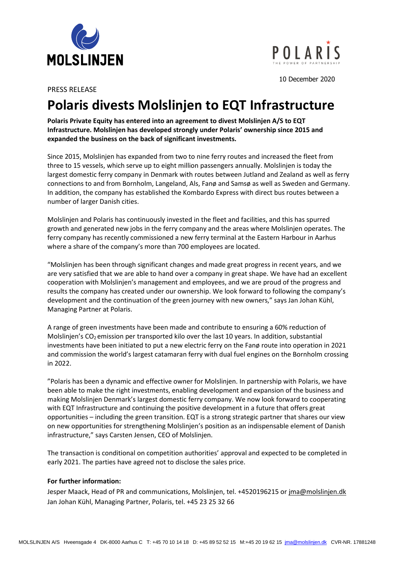



10 December 2020

PRESS RELEASE

## **Polaris divests Molslinjen to EQT Infrastructure**

**Polaris Private Equity has entered into an agreement to divest Molslinjen A/S to EQT Infrastructure. Molslinjen has developed strongly under Polaris' ownership since 2015 and expanded the business on the back of significant investments.**

Since 2015, Molslinjen has expanded from two to nine ferry routes and increased the fleet from three to 15 vessels, which serve up to eight million passengers annually. Molslinjen is today the largest domestic ferry company in Denmark with routes between Jutland and Zealand as well as ferry connections to and from Bornholm, Langeland, Als, Fanø and Samsø as well as Sweden and Germany. In addition, the company has established the Kombardo Express with direct bus routes between a number of larger Danish cities.

Molslinjen and Polaris has continuously invested in the fleet and facilities, and this has spurred growth and generated new jobs in the ferry company and the areas where Molslinjen operates. The ferry company has recently commissioned a new ferry terminal at the Eastern Harbour in Aarhus where a share of the company's more than 700 employees are located.

"Molslinjen has been through significant changes and made great progress in recent years, and we are very satisfied that we are able to hand over a company in great shape. We have had an excellent cooperation with Molslinjen's management and employees, and we are proud of the progress and results the company has created under our ownership. We look forward to following the company's development and the continuation of the green journey with new owners," says Jan Johan Kühl, Managing Partner at Polaris.

A range of green investments have been made and contribute to ensuring a 60% reduction of Molslinjen's CO<sub>2</sub> emission per transported kilo over the last 10 years. In addition, substantial investments have been initiated to put a new electric ferry on the Fanø route into operation in 2021 and commission the world's largest catamaran ferry with dual fuel engines on the Bornholm crossing in 2022.

"Polaris has been a dynamic and effective owner for Molslinjen. In partnership with Polaris, we have been able to make the right investments, enabling development and expansion of the business and making Molslinjen Denmark's largest domestic ferry company. We now look forward to cooperating with EQT Infrastructure and continuing the positive development in a future that offers great opportunities – including the green transition. EQT is a strong strategic partner that shares our view on new opportunities for strengthening Molslinjen's position as an indispensable element of Danish infrastructure," says Carsten Jensen, CEO of Molslinjen.

The transaction is conditional on competition authorities' approval and expected to be completed in early 2021. The parties have agreed not to disclose the sales price.

## **For further information:**

Jesper Maack, Head of PR and communications, Molslinjen, tel. +4520196215 or *jma@molslinjen.dk* Jan Johan Kühl, Managing Partner, Polaris, tel. +45 23 25 32 66